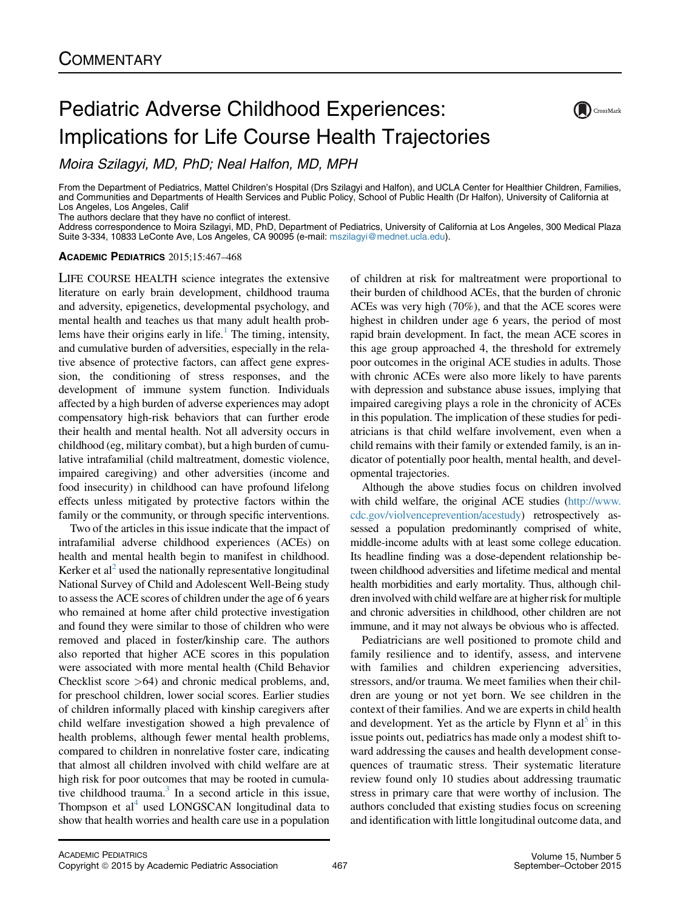## Pediatric Adverse Childhood Experiences: Implications for Life Course Health Trajectories

Moira Szilagyi, MD, PhD; Neal Halfon, MD, MPH

From the Department of Pediatrics, Mattel Children's Hospital (Drs Szilagyi and Halfon), and UCLA Center for Healthier Children, Families, and Communities and Departments of Health Services and Public Policy, School of Public Health (Dr Halfon), University of California at Los Angeles, Los Angeles, Calif

The authors declare that they have no conflict of interest.

Address correspondence to Moira Szilagyi, MD, PhD, Department of Pediatrics, University of California at Los Angeles, 300 Medical Plaza Suite 3-334, 10833 LeConte Ave, Los Angeles, CA 90095 (e-mail: [mszilagyi@mednet.ucla.edu\)](mailto:mszilagyi@mednet.ucla.edu).

## ACADEMIC PEDIATRICS 2015;15:467–468

LIFE COURSE HEALTH science integrates the extensive literature on early brain development, childhood trauma and adversity, epigenetics, developmental psychology, and mental health and teaches us that many adult health problems have their origins early in life.<sup>1</sup> The timing, intensity, and cumulative burden of adversities, especially in the relative absence of protective factors, can affect gene expression, the conditioning of stress responses, and the development of immune system function. Individuals affected by a high burden of adverse experiences may adopt compensatory high-risk behaviors that can further erode their health and mental health. Not all adversity occurs in childhood (eg, military combat), but a high burden of cumulative intrafamilial (child maltreatment, domestic violence, impaired caregiving) and other adversities (income and food insecurity) in childhood can have profound lifelong effects unless mitigated by protective factors within the family or the community, or through specific interventions.

Two of the articles in this issue indicate that the impact of intrafamilial adverse childhood experiences (ACEs) on health and mental health begin to manifest in childhood. Kerker et al<sup>2</sup> used the nationally representative longitudinal National Survey of Child and Adolescent Well-Being study to assess the ACE scores of children under the age of 6 years who remained at home after child protective investigation and found they were similar to those of children who were removed and placed in foster/kinship care. The authors also reported that higher ACE scores in this population were associated with more mental health (Child Behavior Checklist score >64) and chronic medical problems, and, for preschool children, lower social scores. Earlier studies of children informally placed with kinship caregivers after child welfare investigation showed a high prevalence of health problems, although fewer mental health problems, compared to children in nonrelative foster care, indicating that almost all children involved with child welfare are at high risk for poor outcomes that may be rooted in cumulative childhood trauma. $3 \text{ In a second article in this issue,}$ Thompson et  $al<sup>4</sup>$  used LONGSCAN longitudinal data to show that health worries and health care use in a population

of children at risk for maltreatment were proportional to their burden of childhood ACEs, that the burden of chronic ACEs was very high (70%), and that the ACE scores were highest in children under age 6 years, the period of most rapid brain development. In fact, the mean ACE scores in this age group approached 4, the threshold for extremely poor outcomes in the original ACE studies in adults. Those with chronic ACEs were also more likely to have parents with depression and substance abuse issues, implying that impaired caregiving plays a role in the chronicity of ACEs in this population. The implication of these studies for pediatricians is that child welfare involvement, even when a child remains with their family or extended family, is an indicator of potentially poor health, mental health, and developmental trajectories.

Although the above studies focus on children involved with child welfare, the original ACE studies [\(http://www.](http://www.cdc.gov/violvenceprevention/acestudy) [cdc.gov/violvenceprevention/acestudy](http://www.cdc.gov/violvenceprevention/acestudy)) retrospectively assessed a population predominantly comprised of white, middle-income adults with at least some college education. Its headline finding was a dose-dependent relationship between childhood adversities and lifetime medical and mental health morbidities and early mortality. Thus, although children involved with child welfare are at higher risk for multiple and chronic adversities in childhood, other children are not immune, and it may not always be obvious who is affected.

Pediatricians are well positioned to promote child and family resilience and to identify, assess, and intervene with families and children experiencing adversities, stressors, and/or trauma. We meet families when their children are young or not yet born. We see children in the context of their families. And we are experts in child health and development. Yet as the article by Flynn et  $al<sup>5</sup>$  $al<sup>5</sup>$  $al<sup>5</sup>$  in this issue points out, pediatrics has made only a modest shift toward addressing the causes and health development consequences of traumatic stress. Their systematic literature review found only 10 studies about addressing traumatic stress in primary care that were worthy of inclusion. The authors concluded that existing studies focus on screening and identification with little longitudinal outcome data, and